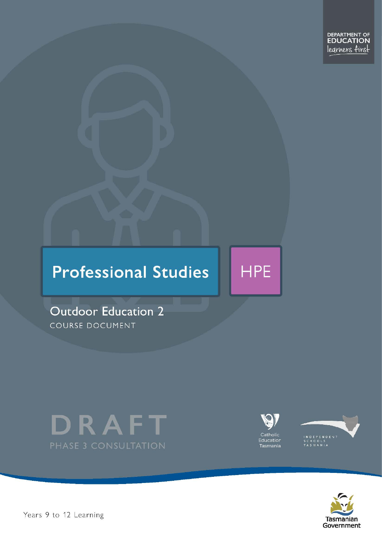# **Professional Studies**

**Outdoor Education 2** COURSE DOCUMENT





**HPE** 





Pears 9 to 12 Learning – Outdoor Education Dramatics – Outdoor Education Level 2 Passential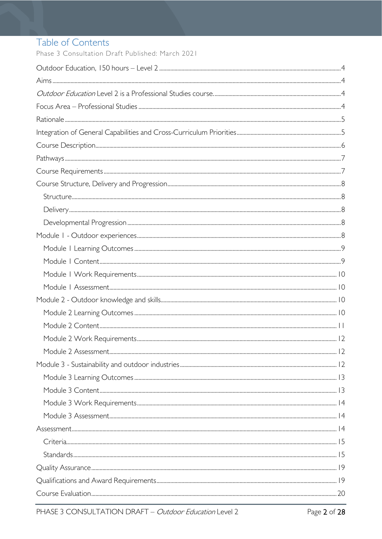# Table of Contents

Phase 3 Consultation Draft Published: March 2021

| $Stand arcs. 15$ |  |
|------------------|--|
|                  |  |
|                  |  |
|                  |  |
|                  |  |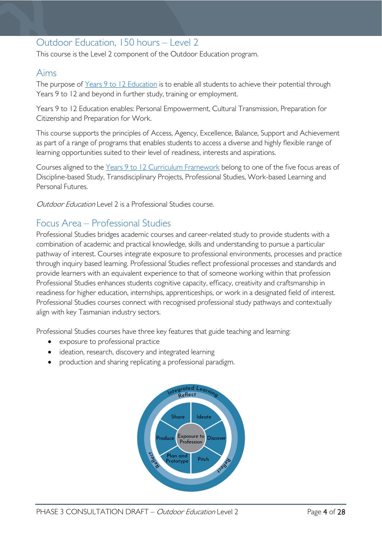# <span id="page-3-0"></span>Outdoor Education, 150 hours – Level 2

This course is the Level 2 component of the Outdoor Education program.

### <span id="page-3-1"></span>Aims

The purpose of Years 9 to 12 [Education](https://publicdocumentcentre.education.tas.gov.au/library/Shared%20Documents/Years-9-to-12-Education-Framework.pdf) is to enable all students to achieve their potential through Years 9 to 12 and beyond in further study, training or employment.

Years 9 to 12 Education enables: Personal Empowerment, Cultural Transmission, Preparation for Citizenship and Preparation for Work.

This course supports the principles of Access, Agency, Excellence, Balance, Support and Achievement as part of a range of programs that enables students to access a diverse and highly flexible range of learning opportunities suited to their level of readiness, interests and aspirations.

Courses aligned to the Years 9 to 12 Curriculum [Framework](https://publicdocumentcentre.education.tas.gov.au/library/Shared%20Documents/Education%209-12%20Frameworks%20A3%20WEB%20POSTER.pdf) belong to one of the five focus areas of Discipline-based Study, Transdisciplinary Projects, Professional Studies, Work-based Learning and Personal Futures.

<span id="page-3-3"></span><span id="page-3-2"></span>Outdoor Education Level 2 is a Professional Studies course.

# Focus Area – Professional Studies

Professional Studies bridges academic courses and career-related study to provide students with a combination of academic and practical knowledge, skills and understanding to pursue a particular pathway of interest. Courses integrate exposure to professional environments, processes and practice through inquiry based learning. Professional Studies reflect professional processes and standards and provide learners with an equivalent experience to that of someone working within that profession Professional Studies enhances students cognitive capacity, efficacy, creativity and craftsmanship in readiness for higher education, internships, apprenticeships, or work in a designated field of interest. Professional Studies courses connect with recognised professional study pathways and contextually align with key Tasmanian industry sectors.

Professional Studies courses have three key features that guide teaching and learning:

- exposure to professional practice
- ideation, research, discovery and integrated learning
- production and sharing replicating a professional paradigm.

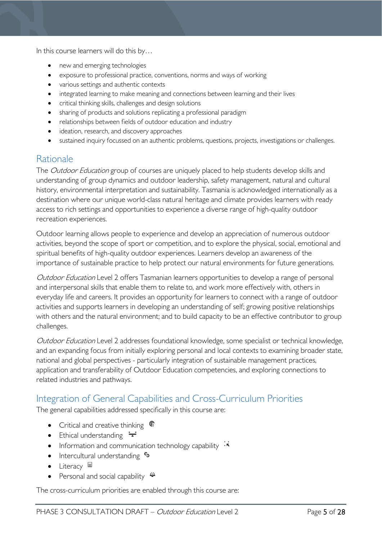In this course learners will do this by…

- new and emerging technologies
- exposure to professional practice, conventions, norms and ways of working
- various settings and authentic contexts
- integrated learning to make meaning and connections between learning and their lives
- critical thinking skills, challenges and design solutions
- sharing of products and solutions replicating a professional paradigm
- relationships between fields of outdoor education and industry
- ideation, research, and discovery approaches
- sustained inquiry focussed on an authentic problems, questions, projects, investigations or challenges.

### <span id="page-4-0"></span>**Rationale**

The Outdoor Education group of courses are uniquely placed to help students develop skills and understanding of group dynamics and outdoor leadership, safety management, natural and cultural history, environmental interpretation and sustainability. Tasmania is acknowledged internationally as a destination where our unique world-class natural heritage and climate provides learners with ready access to rich settings and opportunities to experience a diverse range of high-quality outdoor recreation experiences.

Outdoor learning allows people to experience and develop an appreciation of numerous outdoor activities, beyond the scope of sport or competition, and to explore the physical, social, emotional and spiritual benefits of high-quality outdoor experiences. Learners develop an awareness of the importance of sustainable practice to help protect our natural environments for future generations.

Outdoor Education Level 2 offers Tasmanian learners opportunities to develop a range of personal and interpersonal skills that enable them to relate to, and work more effectively with, others in everyday life and careers. It provides an opportunity for learners to connect with a range of outdoor activities and supports learners in developing an understanding of self; growing positive relationships with others and the natural environment; and to build capacity to be an effective contributor to group challenges.

Outdoor Education Level 2 addresses foundational knowledge, some specialist or technical knowledge, and an expanding focus from initially exploring personal and local contexts to examining broader state, national and global perspectives - particularly integration of sustainable management practices, application and transferability of Outdoor Education competencies, and exploring connections to related industries and pathways.

# <span id="page-4-1"></span>Integration of General Capabilities and Cross-Curriculum Priorities

The general capabilities addressed specifically in this course are:

- Critical and creative thinking  $\epsilon$
- Ethical understanding  $\div$
- Information and communication technology capability  $\cdot\overline{\cdot}$
- Intercultural understanding •
- Literacy  $\blacksquare$
- Personal and social capability

The cross-curriculum priorities are enabled through this course are: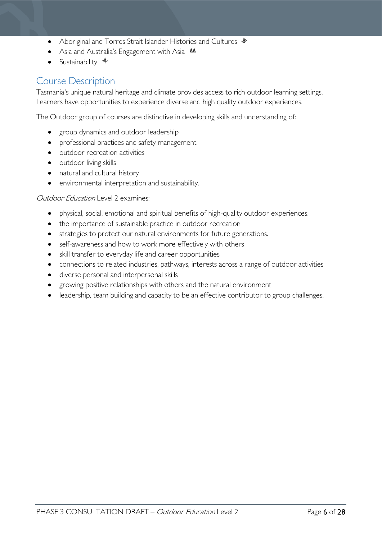- Aboriginal and Torres Strait Islander Histories and Cultures  $\mathcal$
- Asia and Australia's Engagement with Asia **M**
- Sustainability  $\triangleq$

# <span id="page-5-0"></span>Course Description

Tasmania's unique natural heritage and climate provides access to rich outdoor learning settings. Learners have opportunities to experience diverse and high quality outdoor experiences.

The Outdoor group of courses are distinctive in developing skills and understanding of:

- group dynamics and outdoor leadership
- professional practices and safety management
- outdoor recreation activities
- outdoor living skills
- natural and cultural history
- environmental interpretation and sustainability.

#### Outdoor Education Level 2 examines:

- physical, social, emotional and spiritual benefits of high-quality outdoor experiences.
- the importance of sustainable practice in outdoor recreation
- strategies to protect our natural environments for future generations.
- self-awareness and how to work more effectively with others
- skill transfer to everyday life and career opportunities
- connections to related industries, pathways, interests across a range of outdoor activities
- diverse personal and interpersonal skills
- growing positive relationships with others and the natural environment
- leadership, team building and capacity to be an effective contributor to group challenges.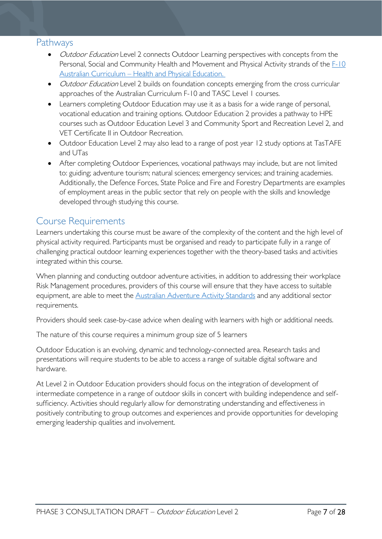### <span id="page-6-0"></span>Pathways

- *Outdoor Education* Level 2 connects Outdoor Learning perspectives with concepts from the Personal, Social and Community Health and Movement and Physical Activity strands of the F-10 Australian Curriculum – [Health and Physical Education.](http://www.australiancurriculum.edu.au/health-and-physical-education/curriculum/f-10?layout=1)
- *Outdoor Education* Level 2 builds on foundation concepts emerging from the cross curricular approaches of the Australian Curriculum F-10 and TASC Level 1 courses.
- Learners completing Outdoor Education may use it as a basis for a wide range of personal, vocational education and training options. Outdoor Education 2 provides a pathway to HPE courses such as Outdoor Education Level 3 and Community Sport and Recreation Level 2, and VET Certificate II in Outdoor Recreation.
- Outdoor Education Level 2 may also lead to a range of post year 12 study options at TasTAFE and UTas
- After completing Outdoor Experiences, vocational pathways may include, but are not limited to: guiding; adventure tourism; natural sciences; emergency services; and training academies. Additionally, the Defence Forces, State Police and Fire and Forestry Departments are examples of employment areas in the public sector that rely on people with the skills and knowledge developed through studying this course.

# <span id="page-6-1"></span>Course Requirements

Learners undertaking this course must be aware of the complexity of the content and the high level of physical activity required. Participants must be organised and ready to participate fully in a range of challenging practical outdoor learning experiences together with the theory-based tasks and activities integrated within this course.

When planning and conducting outdoor adventure activities, in addition to addressing their workplace Risk Management procedures, providers of this course will ensure that they have access to suitable equipment, are able to meet the [Australian Adventure Activity Standards](https://australianaas.org.au/) and any additional sector requirements.

Providers should seek case-by-case advice when dealing with learners with high or additional needs.

The nature of this course requires a minimum group size of 5 learners

Outdoor Education is an evolving, dynamic and technology-connected area. Research tasks and presentations will require students to be able to access a range of suitable digital software and hardware.

At Level 2 in Outdoor Education providers should focus on the integration of development of intermediate competence in a range of outdoor skills in concert with building independence and selfsufficiency. Activities should regularly allow for demonstrating understanding and effectiveness in positively contributing to group outcomes and experiences and provide opportunities for developing emerging leadership qualities and involvement.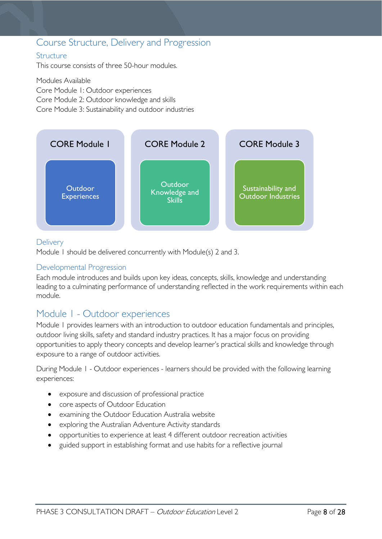### <span id="page-7-0"></span>Course Structure, Delivery and Progression

#### <span id="page-7-1"></span>**Structure**

This course consists of three 50-hour modules.

Modules Available Core Module 1: Outdoor experiences Core Module 2: Outdoor knowledge and skills Core Module 3: Sustainability and outdoor industries



#### <span id="page-7-2"></span>**Delivery**

Module 1 should be delivered concurrently with Module(s) 2 and 3.

#### <span id="page-7-3"></span>Developmental Progression

Each module introduces and builds upon key ideas, concepts, skills, knowledge and understanding leading to a culminating performance of understanding reflected in the work requirements within each module.

# <span id="page-7-4"></span>Module 1 - Outdoor experiences

Module 1 provides learners with an introduction to outdoor education fundamentals and principles, outdoor living skills, safety and standard industry practices. It has a major focus on providing opportunities to apply theory concepts and develop learner's practical skills and knowledge through exposure to a range of outdoor activities.

During Module 1 - Outdoor experiences - learners should be provided with the following learning experiences:

- exposure and discussion of professional practice
- core aspects of Outdoor Education
- examining the Outdoor Education Australia website
- exploring the Australian Adventure Activity standards
- opportunities to experience at least 4 different outdoor recreation activities
- guided support in establishing format and use habits for a reflective journal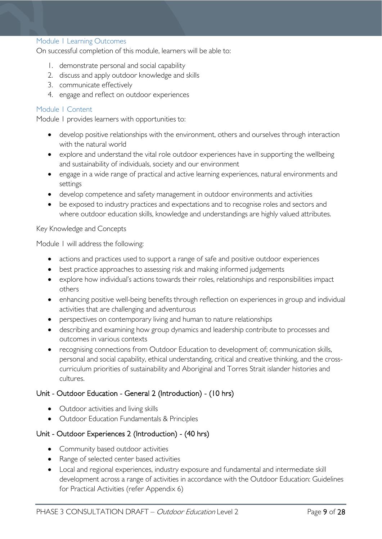#### <span id="page-8-0"></span>Module 1 Learning Outcomes

On successful completion of this module, learners will be able to:

- 1. demonstrate personal and social capability
- 2. discuss and apply outdoor knowledge and skills
- 3. communicate effectively
- 4. engage and reflect on outdoor experiences

#### <span id="page-8-1"></span>Module 1 Content

Module 1 provides learners with opportunities to:

- develop positive relationships with the environment, others and ourselves through interaction with the natural world
- explore and understand the vital role outdoor experiences have in supporting the wellbeing and sustainability of individuals, society and our environment
- engage in a wide range of practical and active learning experiences, natural environments and settings
- develop competence and safety management in outdoor environments and activities
- be exposed to industry practices and expectations and to recognise roles and sectors and where outdoor education skills, knowledge and understandings are highly valued attributes.

#### Key Knowledge and Concepts

Module 1 will address the following:

- actions and practices used to support a range of safe and positive outdoor experiences
- best practice approaches to assessing risk and making informed judgements
- explore how individual's actions towards their roles, relationships and responsibilities impact others
- enhancing positive well-being benefits through reflection on experiences in group and individual activities that are challenging and adventurous
- perspectives on contemporary living and human to nature relationships
- describing and examining how group dynamics and leadership contribute to processes and outcomes in various contexts
- recognising connections from Outdoor Education to development of; communication skills, personal and social capability, ethical understanding, critical and creative thinking, and the crosscurriculum priorities of sustainability and Aboriginal and Torres Strait islander histories and cultures.

#### Unit - Outdoor Education - General 2 (Introduction) - (10 hrs)

- Outdoor activities and living skills
- Outdoor Education Fundamentals & Principles

#### Unit - Outdoor Experiences 2 (Introduction) - (40 hrs)

- Community based outdoor activities
- Range of selected center based activities
- Local and regional experiences, industry exposure and fundamental and intermediate skill development across a range of activities in accordance with the Outdoor Education: Guidelines for Practical Activities (refer Appendix 6)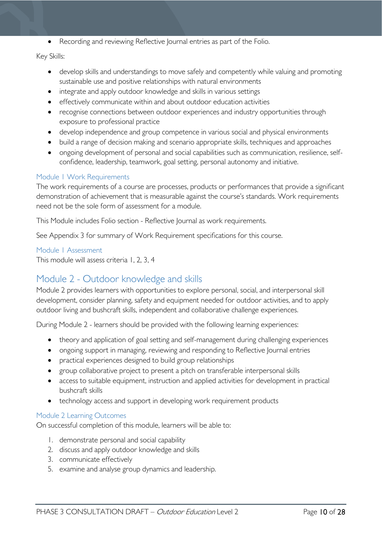• Recording and reviewing Reflective Journal entries as part of the Folio.

#### Key Skills:

- develop skills and understandings to move safely and competently while valuing and promoting sustainable use and positive relationships with natural environments
- integrate and apply outdoor knowledge and skills in various settings
- effectively communicate within and about outdoor education activities
- recognise connections between outdoor experiences and industry opportunities through exposure to professional practice
- develop independence and group competence in various social and physical environments
- build a range of decision making and scenario appropriate skills, techniques and approaches
- ongoing development of personal and social capabilities such as communication, resilience, selfconfidence, leadership, teamwork, goal setting, personal autonomy and initiative.

#### <span id="page-9-0"></span>Module 1 Work Requirements

The work requirements of a course are processes, products or performances that provide a significant demonstration of achievement that is measurable against the course's standards. Work requirements need not be the sole form of assessment for a module.

This Module includes Folio section - Reflective Journal as work requirements.

See Appendix 3 for summary of Work Requirement specifications for this course.

#### <span id="page-9-1"></span>Module 1 Assessment

This module will assess criteria 1, 2, 3, 4

# <span id="page-9-2"></span>Module 2 - Outdoor knowledge and skills

Module 2 provides learners with opportunities to explore personal, social, and interpersonal skill development, consider planning, safety and equipment needed for outdoor activities, and to apply outdoor living and bushcraft skills, independent and collaborative challenge experiences.

During Module 2 - learners should be provided with the following learning experiences:

- theory and application of goal setting and self-management during challenging experiences
- ongoing support in managing, reviewing and responding to Reflective Journal entries
- practical experiences designed to build group relationships
- group collaborative project to present a pitch on transferable interpersonal skills
- access to suitable equipment, instruction and applied activities for development in practical bushcraft skills
- technology access and support in developing work requirement products

#### <span id="page-9-3"></span>Module 2 Learning Outcomes

On successful completion of this module, learners will be able to:

- 1. demonstrate personal and social capability
- 2. discuss and apply outdoor knowledge and skills
- 3. communicate effectively
- 5. examine and analyse group dynamics and leadership.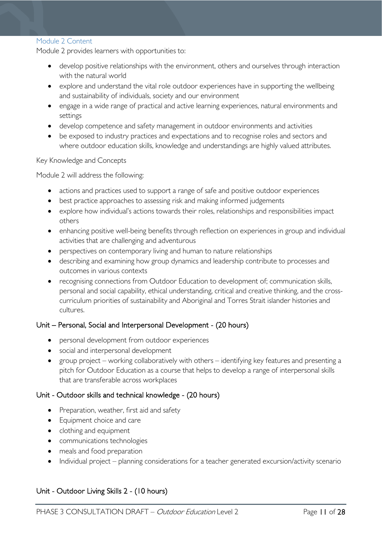#### <span id="page-10-0"></span>Module 2 Content

Module 2 provides learners with opportunities to:

- develop positive relationships with the environment, others and ourselves through interaction with the natural world
- explore and understand the vital role outdoor experiences have in supporting the wellbeing and sustainability of individuals, society and our environment
- engage in a wide range of practical and active learning experiences, natural environments and settings
- develop competence and safety management in outdoor environments and activities
- be exposed to industry practices and expectations and to recognise roles and sectors and where outdoor education skills, knowledge and understandings are highly valued attributes.

#### Key Knowledge and Concepts

Module 2 will address the following:

- actions and practices used to support a range of safe and positive outdoor experiences
- best practice approaches to assessing risk and making informed judgements
- explore how individual's actions towards their roles, relationships and responsibilities impact others
- enhancing positive well-being benefits through reflection on experiences in group and individual activities that are challenging and adventurous
- perspectives on contemporary living and human to nature relationships
- describing and examining how group dynamics and leadership contribute to processes and outcomes in various contexts
- recognising connections from Outdoor Education to development of; communication skills, personal and social capability, ethical understanding, critical and creative thinking, and the crosscurriculum priorities of sustainability and Aboriginal and Torres Strait islander histories and cultures.

#### Unit – Personal, Social and Interpersonal Development - (20 hours)

- personal development from outdoor experiences
- social and interpersonal development
- group project working collaboratively with others identifying key features and presenting a pitch for Outdoor Education as a course that helps to develop a range of interpersonal skills that are transferable across workplaces

#### Unit - Outdoor skills and technical knowledge - (20 hours)

- Preparation, weather, first aid and safety
- Equipment choice and care
- clothing and equipment
- communications technologies
- meals and food preparation
- Individual project planning considerations for a teacher generated excursion/activity scenario

#### Unit - Outdoor Living Skills 2 - (10 hours)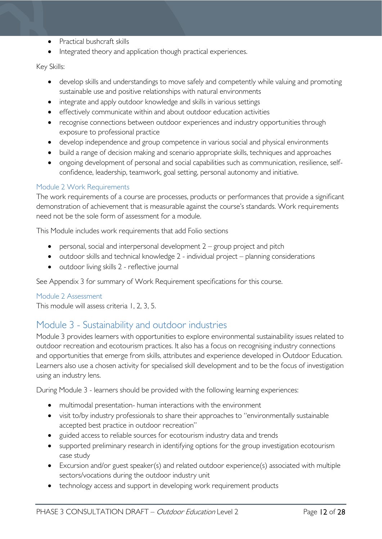- Practical bushcraft skills
- Integrated theory and application though practical experiences.

#### Key Skills:

- develop skills and understandings to move safely and competently while valuing and promoting sustainable use and positive relationships with natural environments
- integrate and apply outdoor knowledge and skills in various settings
- effectively communicate within and about outdoor education activities
- recognise connections between outdoor experiences and industry opportunities through exposure to professional practice
- develop independence and group competence in various social and physical environments
- build a range of decision making and scenario appropriate skills, techniques and approaches
- ongoing development of personal and social capabilities such as communication, resilience, selfconfidence, leadership, teamwork, goal setting, personal autonomy and initiative.

#### <span id="page-11-0"></span>Module 2 Work Requirements

The work requirements of a course are processes, products or performances that provide a significant demonstration of achievement that is measurable against the course's standards. Work requirements need not be the sole form of assessment for a module.

This Module includes work requirements that add Folio sections

- personal, social and interpersonal development 2 group project and pitch
- outdoor skills and technical knowledge 2 individual project planning considerations
- outdoor living skills 2 reflective journal

See Appendix 3 for summary of Work Requirement specifications for this course.

#### <span id="page-11-1"></span>Module 2 Assessment

This module will assess criteria 1, 2, 3, 5.

# <span id="page-11-2"></span>Module 3 - Sustainability and outdoor industries

Module 3 provides learners with opportunities to explore environmental sustainability issues related to outdoor recreation and ecotourism practices. It also has a focus on recognising industry connections and opportunities that emerge from skills, attributes and experience developed in Outdoor Education. Learners also use a chosen activity for specialised skill development and to be the focus of investigation using an industry lens.

During Module 3 - learners should be provided with the following learning experiences:

- multimodal presentation- human interactions with the environment
- visit to/by industry professionals to share their approaches to "environmentally sustainable accepted best practice in outdoor recreation"
- guided access to reliable sources for ecotourism industry data and trends
- supported preliminary research in identifying options for the group investigation ecotourism case study
- Excursion and/or guest speaker(s) and related outdoor experience(s) associated with multiple sectors/vocations during the outdoor industry unit
- technology access and support in developing work requirement products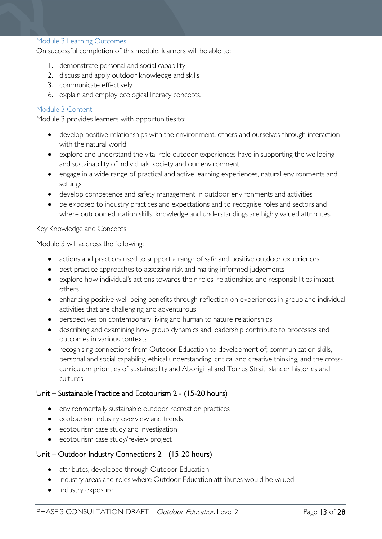#### <span id="page-12-0"></span>Module 3 Learning Outcomes

On successful completion of this module, learners will be able to:

- 1. demonstrate personal and social capability
- 2. discuss and apply outdoor knowledge and skills
- 3. communicate effectively
- 6. explain and employ ecological literacy concepts.

#### <span id="page-12-1"></span>Module 3 Content

Module 3 provides learners with opportunities to:

- develop positive relationships with the environment, others and ourselves through interaction with the natural world
- explore and understand the vital role outdoor experiences have in supporting the wellbeing and sustainability of individuals, society and our environment
- engage in a wide range of practical and active learning experiences, natural environments and settings
- develop competence and safety management in outdoor environments and activities
- be exposed to industry practices and expectations and to recognise roles and sectors and where outdoor education skills, knowledge and understandings are highly valued attributes.

#### Key Knowledge and Concepts

Module 3 will address the following:

- actions and practices used to support a range of safe and positive outdoor experiences
- best practice approaches to assessing risk and making informed judgements
- explore how individual's actions towards their roles, relationships and responsibilities impact others
- enhancing positive well-being benefits through reflection on experiences in group and individual activities that are challenging and adventurous
- perspectives on contemporary living and human to nature relationships
- describing and examining how group dynamics and leadership contribute to processes and outcomes in various contexts
- recognising connections from Outdoor Education to development of; communication skills, personal and social capability, ethical understanding, critical and creative thinking, and the crosscurriculum priorities of sustainability and Aboriginal and Torres Strait islander histories and cultures.

#### Unit – Sustainable Practice and Ecotourism 2 - (15-20 hours)

- environmentally sustainable outdoor recreation practices
- ecotourism industry overview and trends
- ecotourism case study and investigation
- ecotourism case study/review project

#### Unit – Outdoor Industry Connections 2 - (15-20 hours)

- attributes, developed through Outdoor Education
- industry areas and roles where Outdoor Education attributes would be valued
- industry exposure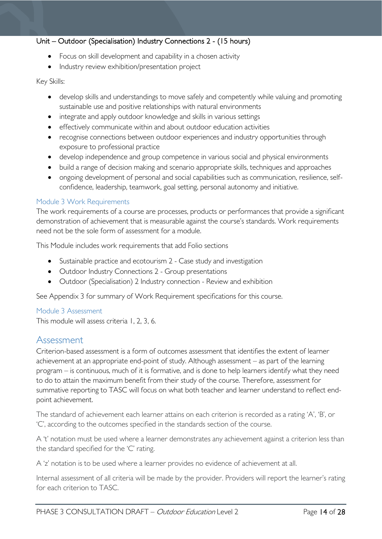#### Unit – Outdoor (Specialisation) Industry Connections 2 - (15 hours)

- Focus on skill development and capability in a chosen activity
- Industry review exhibition/presentation project

#### Key Skills:

- develop skills and understandings to move safely and competently while valuing and promoting sustainable use and positive relationships with natural environments
- integrate and apply outdoor knowledge and skills in various settings
- effectively communicate within and about outdoor education activities
- recognise connections between outdoor experiences and industry opportunities through exposure to professional practice
- develop independence and group competence in various social and physical environments
- build a range of decision making and scenario appropriate skills, techniques and approaches
- ongoing development of personal and social capabilities such as communication, resilience, selfconfidence, leadership, teamwork, goal setting, personal autonomy and initiative.

#### <span id="page-13-0"></span>Module 3 Work Requirements

The work requirements of a course are processes, products or performances that provide a significant demonstration of achievement that is measurable against the course's standards. Work requirements need not be the sole form of assessment for a module.

This Module includes work requirements that add Folio sections

- Sustainable practice and ecotourism 2 Case study and investigation
- Outdoor Industry Connections 2 Group presentations
- Outdoor (Specialisation) 2 Industry connection Review and exhibition

See Appendix 3 for summary of Work Requirement specifications for this course.

#### <span id="page-13-1"></span>Module 3 Assessment

This module will assess criteria 1, 2, 3, 6.

### <span id="page-13-2"></span>Assessment

Criterion-based assessment is a form of outcomes assessment that identifies the extent of learner achievement at an appropriate end-point of study. Although assessment – as part of the learning program – is continuous, much of it is formative, and is done to help learners identify what they need to do to attain the maximum benefit from their study of the course. Therefore, assessment for summative reporting to TASC will focus on what both teacher and learner understand to reflect endpoint achievement.

The standard of achievement each learner attains on each criterion is recorded as a rating 'A', 'B', or 'C', according to the outcomes specified in the standards section of the course.

A 't' notation must be used where a learner demonstrates any achievement against a criterion less than the standard specified for the 'C' rating.

A 'z' notation is to be used where a learner provides no evidence of achievement at all.

Internal assessment of all criteria will be made by the provider. Providers will report the learner's rating for each criterion to TASC.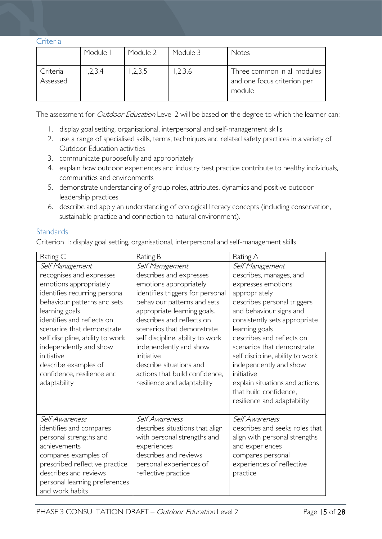<span id="page-14-0"></span>Criteria

|                      | Module I | Module 2 | Module 3 | <b>Notes</b>                                                         |
|----------------------|----------|----------|----------|----------------------------------------------------------------------|
| Criteria<br>Assessed | 1,2,3,4  | 1,2,3,5  | 1,2,3,6  | Three common in all modules<br>and one focus criterion per<br>module |

The assessment for *Outdoor Education* Level 2 will be based on the degree to which the learner can:

- 1. display goal setting, organisational, interpersonal and self-management skills
- 2. use a range of specialised skills, terms, techniques and related safety practices in a variety of Outdoor Education activities
- 3. communicate purposefully and appropriately
- 4. explain how outdoor experiences and industry best practice contribute to healthy individuals, communities and environments
- 5. demonstrate understanding of group roles, attributes, dynamics and positive outdoor leadership practices
- 6. describe and apply an understanding of ecological literacy concepts (including conservation, sustainable practice and connection to natural environment).

#### <span id="page-14-1"></span>**Standards**

Criterion 1: display goal setting, organisational, interpersonal and self-management skills

| Rating C                                                                                                                                                                                                                                                                                                                                                              | Rating B                                                                                                                                                                                                                                                                                                                                                                                                  | Rating A                                                                                                                                                                                                                                                                                                                                                                                                                         |
|-----------------------------------------------------------------------------------------------------------------------------------------------------------------------------------------------------------------------------------------------------------------------------------------------------------------------------------------------------------------------|-----------------------------------------------------------------------------------------------------------------------------------------------------------------------------------------------------------------------------------------------------------------------------------------------------------------------------------------------------------------------------------------------------------|----------------------------------------------------------------------------------------------------------------------------------------------------------------------------------------------------------------------------------------------------------------------------------------------------------------------------------------------------------------------------------------------------------------------------------|
| Self Management<br>recognises and expresses<br>emotions appropriately<br>identifies recurring personal<br>behaviour patterns and sets<br>learning goals<br>identifies and reflects on<br>scenarios that demonstrate<br>self discipline, ability to work<br>independently and show<br>initiative<br>describe examples of<br>confidence, resilience and<br>adaptability | Self Management<br>describes and expresses<br>emotions appropriately<br>identifies triggers for personal<br>behaviour patterns and sets<br>appropriate learning goals.<br>describes and reflects on<br>scenarios that demonstrate<br>self discipline, ability to work<br>independently and show<br>initiative<br>describe situations and<br>actions that build confidence,<br>resilience and adaptability | Self Management<br>describes, manages, and<br>expresses emotions<br>appropriately<br>describes personal triggers<br>and behaviour signs and<br>consistently sets appropriate<br>learning goals<br>describes and reflects on<br>scenarios that demonstrate<br>self discipline, ability to work<br>independently and show<br>initiative<br>explain situations and actions<br>that build confidence,<br>resilience and adaptability |
| Self Awareness<br>identifies and compares<br>personal strengths and<br>achievements<br>compares examples of<br>prescribed reflective practice<br>describes and reviews<br>personal learning preferences<br>and work habits                                                                                                                                            | Self Awareness<br>describes situations that align<br>with personal strengths and<br>experiences<br>describes and reviews<br>personal experiences of<br>reflective practice                                                                                                                                                                                                                                | Self Awareness<br>describes and seeks roles that<br>align with personal strengths<br>and experiences<br>compares personal<br>experiences of reflective<br>practice                                                                                                                                                                                                                                                               |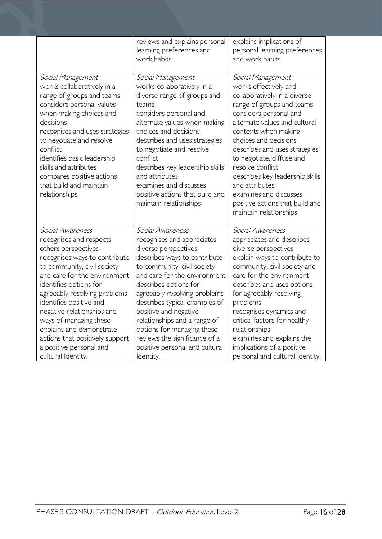|                                                                                                                                                                                                                                                                                                                                                                                                                                 | reviews and explains personal<br>learning preferences and<br>work habits                                                                                                                                                                                                                                                                                                                                                               | explains implications of<br>personal learning preferences<br>and work habits                                                                                                                                                                                                                                                                                                                                                                      |
|---------------------------------------------------------------------------------------------------------------------------------------------------------------------------------------------------------------------------------------------------------------------------------------------------------------------------------------------------------------------------------------------------------------------------------|----------------------------------------------------------------------------------------------------------------------------------------------------------------------------------------------------------------------------------------------------------------------------------------------------------------------------------------------------------------------------------------------------------------------------------------|---------------------------------------------------------------------------------------------------------------------------------------------------------------------------------------------------------------------------------------------------------------------------------------------------------------------------------------------------------------------------------------------------------------------------------------------------|
| Social Management<br>works collaboratively in a<br>range of groups and teams<br>considers personal values<br>when making choices and<br>decisions<br>recognises and uses strategies<br>to negotiate and resolve<br>conflict<br>identifies basic leadership<br>skills and attributes<br>compares positive actions<br>that build and maintain<br>relationships                                                                    | Social Management<br>works collaboratively in a<br>diverse range of groups and<br>teams<br>considers personal and<br>alternate values when making<br>choices and decisions<br>describes and uses strategies<br>to negotiate and resolve<br>conflict<br>describes key leadership skills<br>and attributes<br>examines and discusses<br>positive actions that build and<br>maintain relationships                                        | Social Management<br>works effectively and<br>collaboratively in a diverse<br>range of groups and teams<br>considers personal and<br>alternate values and cultural<br>contexts when making<br>choices and decisions<br>describes and uses strategies<br>to negotiate, diffuse and<br>resolve conflict<br>describes key leadership skills<br>and attributes<br>examines and discusses<br>positive actions that build and<br>maintain relationships |
| Social Awareness<br>recognises and respects<br>others perspectives<br>recognises ways to contribute<br>to community, civil society<br>and care for the environment<br>identifies options for<br>agreeably resolving problems<br>identifies positive and<br>negative relationships and<br>ways of managing these<br>explains and demonstrate<br>actions that positively support<br>a positive personal and<br>cultural Identity. | Social Awareness<br>recognises and appreciates<br>diverse perspectives<br>describes ways to contribute<br>to community, civil society<br>and care for the environment<br>describes options for<br>agreeably resolving problems<br>describes typical examples of<br>positive and negative<br>relationships and a range of<br>options for managing these<br>reviews the significance of a<br>positive personal and cultural<br>Identity. | Social Awareness<br>appreciates and describes<br>diverse perspectives<br>explain ways to contribute to<br>community, civil society and<br>care for the environment<br>describes and uses options<br>for agreeably resolving<br>problems<br>recognises dynamics and<br>critical factors for healthy<br>relationships<br>examines and explains the<br>implications of a positive<br>personal and cultural Identity.                                 |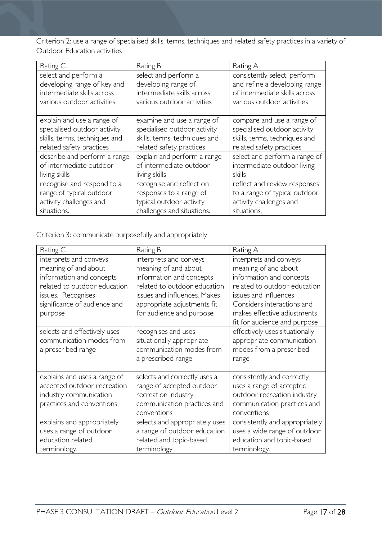Criterion 2: use a range of specialised skills, terms, techniques and related safety practices in a variety of Outdoor Education activities

| Rating C                      | Rating B                      | Rating A                      |
|-------------------------------|-------------------------------|-------------------------------|
| select and perform a          | select and perform a          | consistently select, perform  |
| developing range of key and   | developing range of           | and refine a developing range |
| intermediate skills across    | intermediate skills across    | of intermediate skills across |
| various outdoor activities    | various outdoor activities    | various outdoor activities    |
| explain and use a range of    | examine and use a range of    | compare and use a range of    |
| specialised outdoor activity  | specialised outdoor activity  | specialised outdoor activity  |
| skills, terms, techniques and | skills, terms, techniques and | skills, terms, techniques and |
| related safety practices      | related safety practices      | related safety practices      |
| describe and perform a range  | explain and perform a range   | select and perform a range of |
| of intermediate outdoor       | of intermediate outdoor       | intermediate outdoor living   |
| living skills                 | living skills                 | skills                        |
| recognise and respond to a    | recognise and reflect on      | reflect and review responses  |
| range of typical outdoor      | responses to a range of       | to a range of typical outdoor |
| activity challenges and       | typical outdoor activity      | activity challenges and       |
| situations.                   | challenges and situations.    | situations.                   |

Criterion 3: communicate purposefully and appropriately

| Rating C                                                                                                                                                                    | Rating B                                                                                                                                                                                              | Rating A                                                                                                                                                                                                                         |
|-----------------------------------------------------------------------------------------------------------------------------------------------------------------------------|-------------------------------------------------------------------------------------------------------------------------------------------------------------------------------------------------------|----------------------------------------------------------------------------------------------------------------------------------------------------------------------------------------------------------------------------------|
| interprets and conveys<br>meaning of and about<br>information and concepts<br>related to outdoor education<br>issues. Recognises<br>significance of audience and<br>purpose | interprets and conveys<br>meaning of and about<br>information and concepts<br>related to outdoor education<br>issues and influences. Makes<br>appropriate adjustments fit<br>for audience and purpose | interprets and conveys<br>meaning of and about<br>information and concepts<br>related to outdoor education<br>issues and influences<br>Considers interactions and<br>makes effective adjustments<br>fit for audience and purpose |
| selects and effectively uses<br>communication modes from<br>a prescribed range                                                                                              | recognises and uses<br>situationally appropriate<br>communication modes from<br>a prescribed range                                                                                                    | effectively uses situationally<br>appropriate communication<br>modes from a prescribed<br>range                                                                                                                                  |
| explains and uses a range of<br>accepted outdoor recreation<br>industry communication<br>practices and conventions                                                          | selects and correctly uses a<br>range of accepted outdoor<br>recreation industry<br>communication practices and<br>conventions                                                                        | consistently and correctly<br>uses a range of accepted<br>outdoor recreation industry<br>communication practices and<br>conventions                                                                                              |
| explains and appropriately<br>uses a range of outdoor<br>education related<br>terminology.                                                                                  | selects and appropriately uses<br>a range of outdoor education<br>related and topic-based<br>terminology.                                                                                             | consistently and appropriately<br>uses a wide range of outdoor<br>education and topic-based<br>terminology.                                                                                                                      |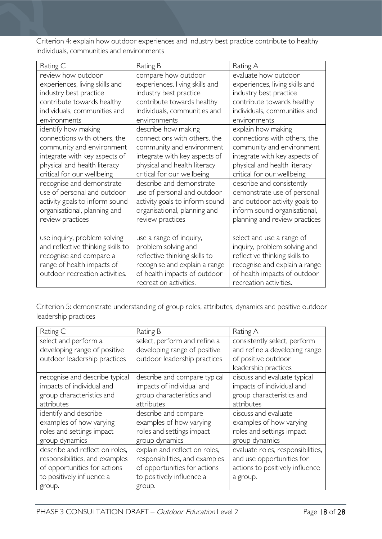Criterion 4: explain how outdoor experiences and industry best practice contribute to healthy individuals, communities and environments

| Rating C                          | Rating B                       | Rating A                       |
|-----------------------------------|--------------------------------|--------------------------------|
| review how outdoor                | compare how outdoor            | evaluate how outdoor           |
| experiences, living skills and    | experiences, living skills and | experiences, living skills and |
| industry best practice            | industry best practice         | industry best practice         |
| contribute towards healthy        | contribute towards healthy     | contribute towards healthy     |
| individuals, communities and      | individuals, communities and   | individuals, communities and   |
| environments                      | environments                   | environments                   |
| identify how making               | describe how making            | explain how making             |
| connections with others, the      | connections with others, the   | connections with others, the   |
| community and environment         | community and environment      | community and environment      |
| integrate with key aspects of     | integrate with key aspects of  | integrate with key aspects of  |
| physical and health literacy      | physical and health literacy   | physical and health literacy   |
| critical for our wellbeing        | critical for our wellbeing     | critical for our wellbeing     |
| recognise and demonstrate         | describe and demonstrate       | describe and consistently      |
| use of personal and outdoor       | use of personal and outdoor    | demonstrate use of personal    |
| activity goals to inform sound    | activity goals to inform sound | and outdoor activity goals to  |
| organisational, planning and      | organisational, planning and   | inform sound organisational,   |
| review practices                  | review practices               | planning and review practices  |
|                                   |                                |                                |
| use inquiry, problem solving      | use a range of inquiry,        | select and use a range of      |
| and reflective thinking skills to | problem solving and            | inquiry, problem solving and   |
| recognise and compare a           | reflective thinking skills to  | reflective thinking skills to  |
| range of health impacts of        | recognise and explain a range  | recognise and explain a range  |
| outdoor recreation activities.    | of health impacts of outdoor   | of health impacts of outdoor   |
|                                   | recreation activities.         | recreation activities.         |

Criterion 5: demonstrate understanding of group roles, attributes, dynamics and positive outdoor leadership practices

| Rating C                       | Rating B                       | Rating A                          |
|--------------------------------|--------------------------------|-----------------------------------|
| select and perform a           | select, perform and refine a   | consistently select, perform      |
| developing range of positive   | developing range of positive   | and refine a developing range     |
| outdoor leadership practices   | outdoor leadership practices   | of positive outdoor               |
|                                |                                | leadership practices              |
| recognise and describe typical | describe and compare typical   | discuss and evaluate typical      |
| impacts of individual and      | impacts of individual and      | impacts of individual and         |
| group characteristics and      | group characteristics and      | group characteristics and         |
| attributes                     | attributes                     | attributes                        |
| identify and describe          | describe and compare           | discuss and evaluate              |
| examples of how varying        | examples of how varying        | examples of how varying           |
| roles and settings impact      | roles and settings impact      | roles and settings impact         |
| group dynamics                 | group dynamics                 | group dynamics                    |
| describe and reflect on roles, | explain and reflect on roles,  | evaluate roles, responsibilities, |
| responsibilities, and examples | responsibilities, and examples | and use opportunities for         |
| of opportunities for actions   | of opportunities for actions   | actions to positively influence   |
| to positively influence a      | to positively influence a      | a group.                          |
| group.                         | group.                         |                                   |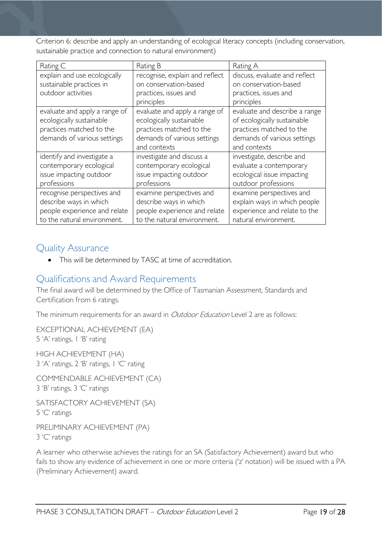Criterion 6: describe and apply an understanding of ecological literacy concepts (including conservation, sustainable practice and connection to natural environment)

| Rating C                                                                                                             | Rating B                                                                                                                             | Rating A                                                                                                                                |
|----------------------------------------------------------------------------------------------------------------------|--------------------------------------------------------------------------------------------------------------------------------------|-----------------------------------------------------------------------------------------------------------------------------------------|
| explain and use ecologically<br>sustainable practices in<br>outdoor activities                                       | recognise, explain and reflect<br>on conservation-based<br>practices, issues and<br>principles                                       | discuss, evaluate and reflect<br>on conservation-based<br>practices, issues and<br>principles                                           |
| evaluate and apply a range of<br>ecologically sustainable<br>practices matched to the<br>demands of various settings | evaluate and apply a range of<br>ecologically sustainable<br>practices matched to the<br>demands of various settings<br>and contexts | evaluate and describe a range<br>of ecologically sustainable<br>practices matched to the<br>demands of various settings<br>and contexts |
| identify and investigate a<br>contemporary ecological<br>issue impacting outdoor<br>professions                      | investigate and discuss a<br>contemporary ecological<br>issue impacting outdoor<br>professions                                       | investigate, describe and<br>evaluate a contemporary<br>ecological issue impacting<br>outdoor professions                               |
| recognise perspectives and<br>describe ways in which<br>people experience and relate<br>to the natural environment.  | examine perspectives and<br>describe ways in which<br>people experience and relate<br>to the natural environment.                    | examine perspectives and<br>explain ways in which people<br>experience and relate to the<br>natural environment.                        |

### <span id="page-18-0"></span>Quality Assurance

• This will be determined by TASC at time of accreditation.

# <span id="page-18-1"></span>Qualifications and Award Requirements

The final award will be determined by the Office of Tasmanian Assessment, Standards and Certification from 6 ratings.

The minimum requirements for an award in *Outdoor Education* Level 2 are as follows:

EXCEPTIONAL ACHIEVEMENT (EA) 5 'A' ratings, 1 'B' rating

HIGH ACHIEVEMENT (HA) 3 'A' ratings, 2 'B' ratings, 1 'C' rating

COMMENDABLE ACHIEVEMENT (CA) 3 'B' ratings, 3 'C' ratings

SATISFACTORY ACHIEVEMENT (SA) 5 'C' ratings

PRELIMINARY ACHIEVEMENT (PA) 3 'C' ratings

A learner who otherwise achieves the ratings for an SA (Satisfactory Achievement) award but who fails to show any evidence of achievement in one or more criteria ('z' notation) will be issued with a PA (Preliminary Achievement) award.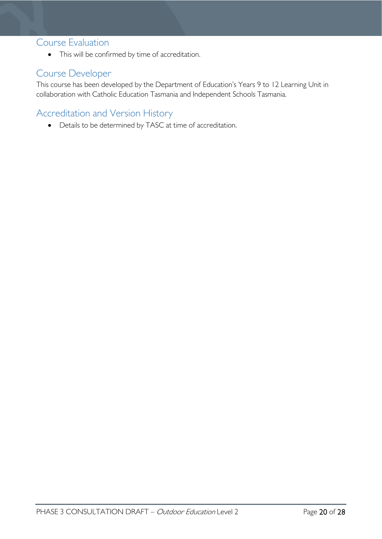### <span id="page-19-0"></span>Course Evaluation

• This will be confirmed by time of accreditation.

# <span id="page-19-1"></span>Course Developer

This course has been developed by the Department of Education's Years 9 to 12 Learning Unit in collaboration with Catholic Education Tasmania and Independent Schools Tasmania.

# <span id="page-19-2"></span>Accreditation and Version History

• Details to be determined by TASC at time of accreditation.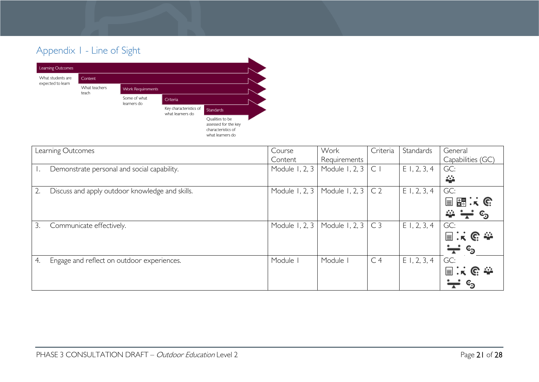# Appendix 1 - Line of Sight



<span id="page-20-0"></span>

| Learning Outcomes                                | Course         | Work           | Criteria       | Standards      | General                 |
|--------------------------------------------------|----------------|----------------|----------------|----------------|-------------------------|
|                                                  | Content        | Requirements   |                |                | Capabilities (GC)       |
| Demonstrate personal and social capability.      | Module 1, 2, 3 | Module 1, 2, 3 | C <sub>1</sub> | $E$ 1, 2, 3, 4 | GC:                     |
|                                                  |                |                |                |                | 挙                       |
| Discuss and apply outdoor knowledge and skills.  | Module 1, 2, 3 | Module 1, 2, 3 | C <sub>2</sub> | $E$ 1, 2, 3, 4 | GC:                     |
|                                                  |                |                |                |                | 国盟:(                    |
|                                                  |                |                |                |                | $\Rightarrow -$         |
| 3.<br>Communicate effectively.                   | Module 1, 2, 3 | Module 1, 2, 3 | C <sub>3</sub> | $E$ 1, 2, 3, 4 | GC:                     |
|                                                  |                |                |                |                | 国家的参                    |
|                                                  |                |                |                |                | —ี ∘ิ                   |
| 4.<br>Engage and reflect on outdoor experiences. | Module I       | Module         | C <sub>4</sub> | $E$ 1, 2, 3, 4 | GC:                     |
|                                                  |                |                |                |                | 国兴色泰                    |
|                                                  |                |                |                |                | $\mathbf{c}_\mathbf{D}$ |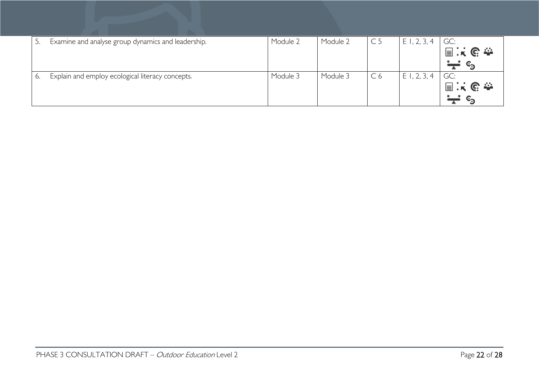|    | Examine and analyse group dynamics and leadership. | Module 2 | Module 2 | C <sub>5</sub> | E1, 2, 3, 4 | GC:                     |
|----|----------------------------------------------------|----------|----------|----------------|-------------|-------------------------|
|    |                                                    |          |          |                |             | 国民民泰                    |
|    |                                                    |          |          |                |             | $\mathbf{c}_\mathbf{D}$ |
| 6. | Explain and employ ecological literacy concepts.   | Module 3 | Module 3 | C <sub>6</sub> | E1, 2, 3, 4 | GC:                     |
|    |                                                    |          |          |                |             | 国民民泰                    |
|    |                                                    |          |          |                |             |                         |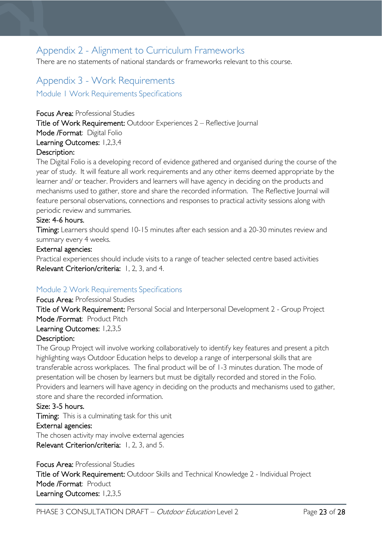# <span id="page-22-0"></span>Appendix 2 - Alignment to Curriculum Frameworks

There are no statements of national standards or frameworks relevant to this course.

# <span id="page-22-1"></span>Appendix 3 - Work Requirements

<span id="page-22-2"></span>Module 1 Work Requirements Specifications

Focus Area: Professional Studies Title of Work Requirement: Outdoor Experiences 2 – Reflective Journal Mode /Format: Digital Folio Learning Outcomes: 1,2,3,4 Description:

The Digital Folio is a developing record of evidence gathered and organised during the course of the year of study. It will feature all work requirements and any other items deemed appropriate by the learner and/ or teacher. Providers and learners will have agency in deciding on the products and mechanisms used to gather, store and share the recorded information. The Reflective Journal will feature personal observations, connections and responses to practical activity sessions along with periodic review and summaries.

#### Size: 4-6 hours.

Timing: Learners should spend 10-15 minutes after each session and a 20-30 minutes review and summary every 4 weeks.

#### External agencies:

Practical experiences should include visits to a range of teacher selected centre based activities Relevant Criterion/criteria: 1, 2, 3, and 4.

#### <span id="page-22-3"></span>Module 2 Work Requirements Specifications

#### Focus Area: Professional Studies

Title of Work Requirement: Personal Social and Interpersonal Development 2 - Group Project Mode /Format: Product Pitch Learning Outcomes: 1,2,3,5

#### Description:

The Group Project will involve working collaboratively to identify key features and present a pitch highlighting ways Outdoor Education helps to develop a range of interpersonal skills that are transferable across workplaces. The final product will be of 1-3 minutes duration. The mode of presentation will be chosen by learners but must be digitally recorded and stored in the Folio. Providers and learners will have agency in deciding on the products and mechanisms used to gather, store and share the recorded information.

#### Size: 3-5 hours.

Timing: This is a culminating task for this unit

#### External agencies:

The chosen activity may involve external agencies Relevant Criterion/criteria: 1, 2, 3, and 5.

Focus Area: Professional Studies Title of Work Requirement: Outdoor Skills and Technical Knowledge 2 - Individual Project Mode /Format: Product Learning Outcomes: 1,2,3,5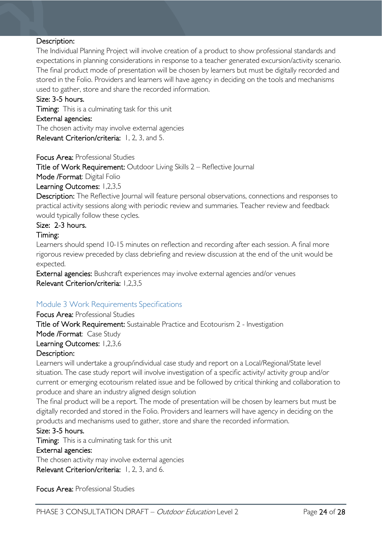#### Description:

The Individual Planning Project will involve creation of a product to show professional standards and expectations in planning considerations in response to a teacher generated excursion/activity scenario. The final product mode of presentation will be chosen by learners but must be digitally recorded and stored in the Folio. Providers and learners will have agency in deciding on the tools and mechanisms used to gather, store and share the recorded information.

#### Size: 3-5 hours.

Timing: This is a culminating task for this unit

#### External agencies:

The chosen activity may involve external agencies Relevant Criterion/criteria: 1, 2, 3, and 5.

Focus Area: Professional Studies

Title of Work Requirement: Outdoor Living Skills 2 – Reflective Journal

Mode /Format: Digital Folio

Learning Outcomes: 1,2,3,5

Description: The Reflective Journal will feature personal observations, connections and responses to practical activity sessions along with periodic review and summaries. Teacher review and feedback would typically follow these cycles.

#### Size: 2-3 hours.

#### Timing:

Learners should spend 10-15 minutes on reflection and recording after each session. A final more rigorous review preceded by class debriefing and review discussion at the end of the unit would be expected.

External agencies: Bushcraft experiences may involve external agencies and/or venues Relevant Criterion/criteria: 1,2,3,5

#### <span id="page-23-0"></span>Module 3 Work Requirements Specifications

#### Focus Area: Professional Studies

Title of Work Requirement: Sustainable Practice and Ecotourism 2 - Investigation

### Mode /Format: Case Study

#### Learning Outcomes: 1,2,3,6

#### Description:

Learners will undertake a group/individual case study and report on a Local/Regional/State level situation. The case study report will involve investigation of a specific activity/ activity group and/or current or emerging ecotourism related issue and be followed by critical thinking and collaboration to produce and share an industry aligned design solution

The final product will be a report. The mode of presentation will be chosen by learners but must be digitally recorded and stored in the Folio. Providers and learners will have agency in deciding on the products and mechanisms used to gather, store and share the recorded information.

#### Size: 3-5 hours.

Timing: This is a culminating task for this unit

#### External agencies:

The chosen activity may involve external agencies

Relevant Criterion/criteria: 1, 2, 3, and 6.

Focus Area: Professional Studies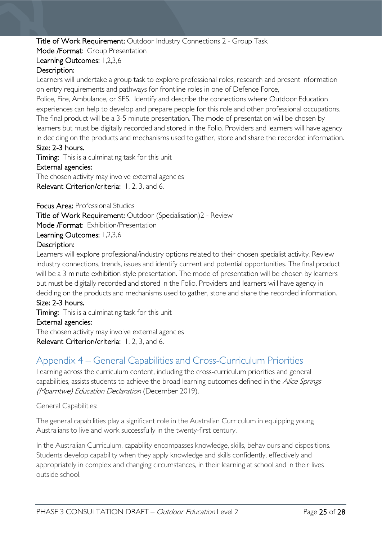#### Title of Work Requirement: Outdoor Industry Connections 2 - Group Task

Mode /Format: Group Presentation

#### Learning Outcomes: 1,2,3,6

#### Description:

Learners will undertake a group task to explore professional roles, research and present information on entry requirements and pathways for frontline roles in one of Defence Force,

Police, Fire, Ambulance, or SES. Identify and describe the connections where Outdoor Education experiences can help to develop and prepare people for this role and other professional occupations. The final product will be a 3-5 minute presentation. The mode of presentation will be chosen by learners but must be digitally recorded and stored in the Folio. Providers and learners will have agency in deciding on the products and mechanisms used to gather, store and share the recorded information. Size: 2-3 hours.

Timing: This is a culminating task for this unit

#### External agencies:

The chosen activity may involve external agencies Relevant Criterion/criteria: 1, 2, 3, and 6.

Focus Area: Professional Studies

Title of Work Requirement: Outdoor (Specialisation)2 - Review

Mode /Format: Exhibition/Presentation

Learning Outcomes: 1,2,3,6

#### Description:

Learners will explore professional/industry options related to their chosen specialist activity. Review industry connections, trends, issues and identify current and potential opportunities. The final product will be a 3 minute exhibition style presentation. The mode of presentation will be chosen by learners but must be digitally recorded and stored in the Folio. Providers and learners will have agency in deciding on the products and mechanisms used to gather, store and share the recorded information.

#### Size: 2-3 hours.

**Timing:** This is a culminating task for this unit External agencies: The chosen activity may involve external agencies

<span id="page-24-0"></span>Relevant Criterion/criteria: 1, 2, 3, and 6.

# Appendix 4 – General Capabilities and Cross-Curriculum Priorities

Learning across the curriculum content, including the cross-curriculum priorities and general capabilities, assists students to achieve the broad learning outcomes defined in the Alice Springs (Mparntwe) Education Declaration (December 2019).

General Capabilities:

The general capabilities play a significant role in the Australian Curriculum in equipping young Australians to live and work successfully in the twenty-first century.

In the Australian Curriculum, capability encompasses knowledge, skills, behaviours and dispositions. Students develop capability when they apply knowledge and skills confidently, effectively and appropriately in complex and changing circumstances, in their learning at school and in their lives outside school.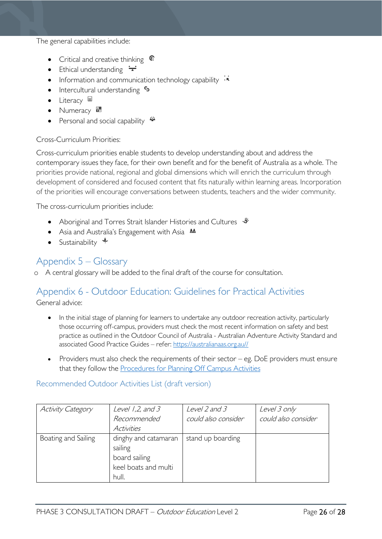The general capabilities include:

- Critical and creative thinking  $\epsilon$
- Ethical understanding  $\div$
- Information and communication technology capability  $\cdot \star$
- Intercultural understanding  $\epsilon_3$
- Literacy  $\blacksquare$
- Numeracy
- Personal and social capability  $\ddot{\ddot{\bullet}}$

#### Cross-Curriculum Priorities:

Cross-curriculum priorities enable students to develop understanding about and address the contemporary issues they face, for their own benefit and for the benefit of Australia as a whole. The priorities provide national, regional and global dimensions which will enrich the curriculum through development of considered and focused content that fits naturally within learning areas. Incorporation of the priorities will encourage conversations between students, teachers and the wider community.

The cross-curriculum priorities include:

- Aboriginal and Torres Strait Islander Histories and Cultures  $\mathcal$
- Asia and Australia's Engagement with Asia **AA**
- Sustainability  $\triangleleft$

# <span id="page-25-0"></span>Appendix 5 – Glossary

o A central glossary will be added to the final draft of the course for consultation.

# <span id="page-25-1"></span>Appendix 6 - Outdoor Education: Guidelines for Practical Activities

General advice:

- In the initial stage of planning for learners to undertake any outdoor recreation activity, particularly those occurring off-campus, providers must check the most recent information on safety and best practice as outlined in the Outdoor Council of Australia - Australian Adventure Activity Standard and associated Good Practice Guides – refer: [https://australianaas.org.au//](https://australianaas.org.au/)
- Providers must also check the requirements of their sector  $-$  eg. DoE providers must ensure that they follow the [Procedures for Planning Off Campus Activities](https://tasedu.sharepoint.com/sites/intranet/Document%20Centre/Procedures-for-Planning-Off-Campus-Activities.PDF)

<span id="page-25-2"></span>Recommended Outdoor Activities List (draft version)

| <b>Activity Category</b> | Level $1,2$ , and $3$ | Level 2 and 3       | Level 3 only        |
|--------------------------|-----------------------|---------------------|---------------------|
|                          | Recommended           | could also consider | could also consider |
|                          | <b>Activities</b>     |                     |                     |
| Boating and Sailing      | dinghy and catamaran  | stand up boarding   |                     |
|                          | sailing               |                     |                     |
|                          | board sailing         |                     |                     |
|                          | keel boats and multi  |                     |                     |
|                          | hull.                 |                     |                     |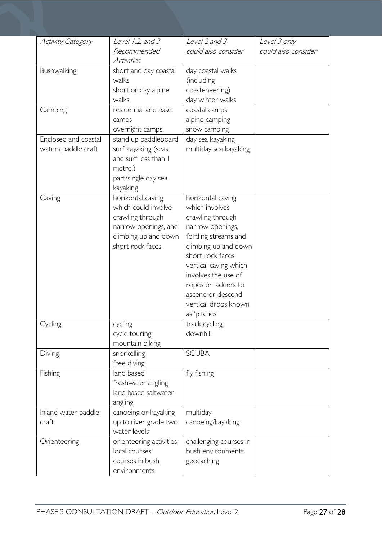| <b>Activity Category</b> | Level $1,2$ , and $3$   | Level 2 and 3          | Level 3 only        |
|--------------------------|-------------------------|------------------------|---------------------|
|                          | Recommended             | could also consider    | could also consider |
|                          | Activities              |                        |                     |
| Bushwalking              | short and day coastal   | day coastal walks      |                     |
|                          | walks                   | (including             |                     |
|                          | short or day alpine     | coasteneering)         |                     |
|                          | walks.                  | day winter walks       |                     |
| Camping                  | residential and base    | coastal camps          |                     |
|                          | camps                   | alpine camping         |                     |
|                          | overnight camps.        | snow camping           |                     |
| Enclosed and coastal     | stand up paddleboard    | day sea kayaking       |                     |
| waters paddle craft      | surf kayaking (seas     | multiday sea kayaking  |                     |
|                          | and surf less than I    |                        |                     |
|                          | metre.)                 |                        |                     |
|                          | part/single day sea     |                        |                     |
|                          | kayaking                |                        |                     |
| Caving                   | horizontal caving       | horizontal caving      |                     |
|                          | which could involve     | which involves         |                     |
|                          | crawling through        | crawling through       |                     |
|                          | narrow openings, and    | narrow openings,       |                     |
|                          | climbing up and down    | fording streams and    |                     |
|                          | short rock faces.       | climbing up and down   |                     |
|                          |                         | short rock faces       |                     |
|                          |                         | vertical caving which  |                     |
|                          |                         | involves the use of    |                     |
|                          |                         | ropes or ladders to    |                     |
|                          |                         | ascend or descend      |                     |
|                          |                         | vertical drops known   |                     |
|                          |                         | as 'pitches'           |                     |
| Cycling                  | cycling                 | track cycling          |                     |
|                          | cycle touring           | downhill               |                     |
|                          | mountain biking         |                        |                     |
| Diving                   | snorkelling             | <b>SCUBA</b>           |                     |
|                          | free diving.            |                        |                     |
| Fishing                  | land based              | fly fishing            |                     |
|                          | freshwater angling      |                        |                     |
|                          | land based saltwater    |                        |                     |
|                          | angling                 |                        |                     |
| Inland water paddle      | canoeing or kayaking    | multiday               |                     |
| craft                    | up to river grade two   | canoeing/kayaking      |                     |
|                          | water levels            |                        |                     |
| Orienteering             | orienteering activities | challenging courses in |                     |
|                          | local courses           | bush environments      |                     |
|                          | courses in bush         | geocaching             |                     |
|                          | environments            |                        |                     |